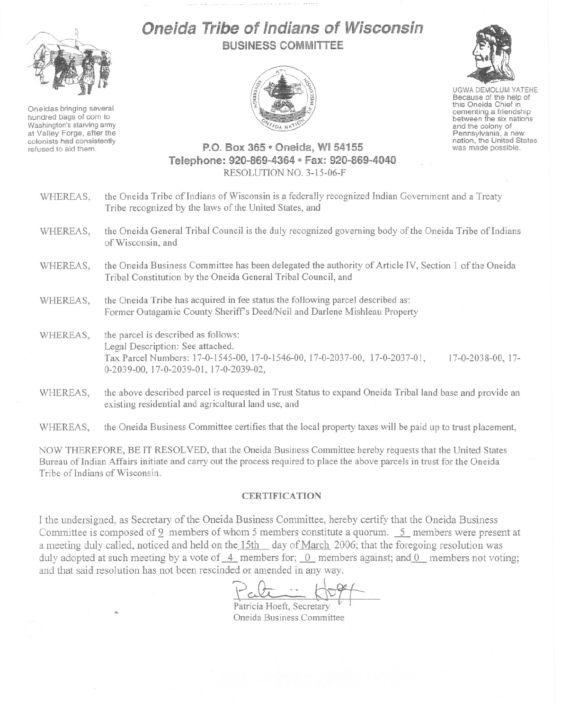

Oneidas bringing several hundred bags of corn to Washington's starving army at Valley Forge, after the colonists had consistently refused to aid them.

## Oneid;:~**Tribe of Indians of Wisconsin BUSINESS COMMITTEE**



UGWA DEMOLUM YATEHE Because of the help of this Oneida Chief in<br>cementing a friendship between the six nations

and the colony of<br>Pennsylvania, a new nation, the United States was made possible.

## **P.O. Box 365 e Oneida, WI 54155 Telephone: 920-869-4364 eI Fax: 920-869-4040** RESOLUTION NO. 3-1S-06-F

WHEREAS, the Oneida Tribe of Indians of Wisconsin is a federally recognized Indian Government and a Treaty Tribe recognized by the laws of the United States, and WHEREAS, the Oneida General Tribal Council is the duly recognized governing body of the Oneida Tribe of Indians of Wisconsin, and WHEREAS, the Oneida Business Committee has been delegated the authority of Article IV, Section 1 of the Oneida Tribal Constitution by the Oneida General Tribal Council, and WHEREAS, the Oneida Tribe has acquired in fee status the following parcel described as: Former Outagamie County Sheriff's Deed/Neil and Darlene Mishleau Property WHEREAS, the parcel is described as follows: Legal Description: See attached. Tax Parcel Numbers: ]7-0-]545-00, ]7-0-1546-00, ]7-0-2037-00, 17-0-2037-0], 0-2039-00, ] 7-0-2039-0], ] 7-0-2039-02, ] 7-0-2038-00, 17- WHEREAS, the above described parcel is requested in Trust Status to expand Oneida Tribal land base and provide an existing residential and agricultural land use, and WHEREAS, the Oneida Business Committee certifies that the local property taxes will be paid **up** to trust placement,

NOW THEREFORE, BE IT RESOLVED, that the Oneida Business Committee hereby requests that the United States Bureau of Indian Affairs initiate and carry out the process required to place the above parcels in trust for the Oneida Tribe of Indians of Wisconsin.

## **CERTIFICA TION**

I the undersigned, as Secretary of the Oneida Business Committee, hereby certify that the Oneida Business Committee is composed of 9 members of whom 5 members constitute a quorum. 5 members were present at a meeting duly called, noticed and held on the 15th day of March 2006; that the foregoing resolution was duly adopted at such meeting by a vote of  $-4$  members for; 0 members against; and 0 members not voting; and tbat said resolution has not been rescinded or amended in any way.

 $\frac{\rho_{\text{cl}}}{\rho_{\text{rel}}}\mid~\text{Lag}$ 

Patricia Hoeft, Secretary **v** Oneida Business Committee